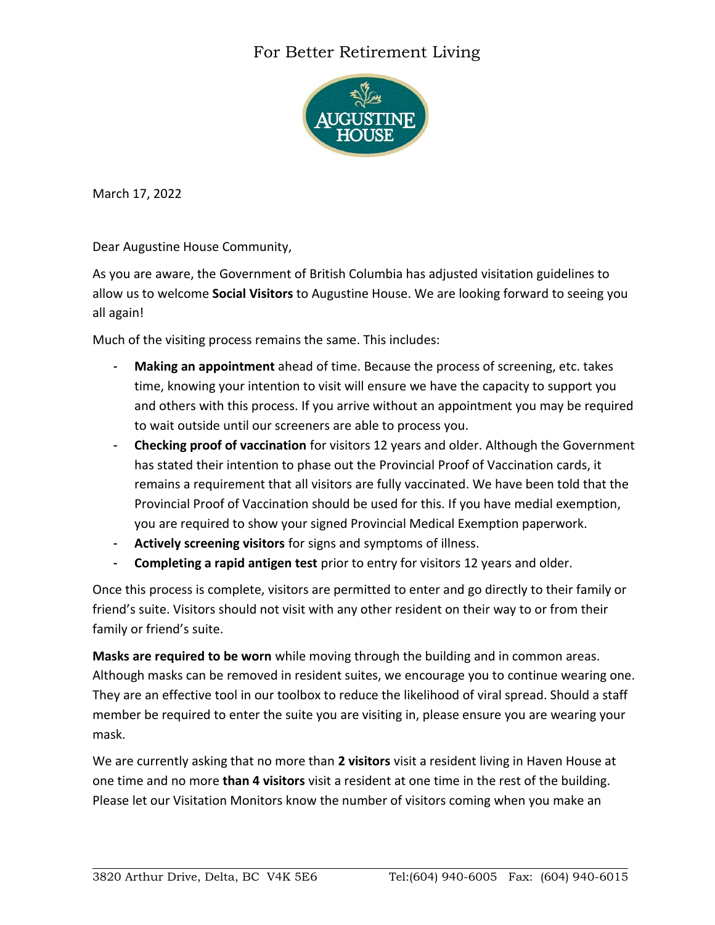## For Better Retirement Living



March 17, 2022

Dear Augustine House Community,

As you are aware, the Government of British Columbia has adjusted visitation guidelines to allow us to welcome **Social Visitors** to Augustine House. We are looking forward to seeing you all again!

Much of the visiting process remains the same. This includes:

- **Making an appointment** ahead of time. Because the process of screening, etc. takes time, knowing your intention to visit will ensure we have the capacity to support you and others with this process. If you arrive without an appointment you may be required to wait outside until our screeners are able to process you.
- **Checking proof of vaccination** for visitors 12 years and older. Although the Government has stated their intention to phase out the Provincial Proof of Vaccination cards, it remains a requirement that all visitors are fully vaccinated. We have been told that the Provincial Proof of Vaccination should be used for this. If you have medial exemption, you are required to show your signed Provincial Medical Exemption paperwork.
- **Actively screening visitors** for signs and symptoms of illness.
- **Completing a rapid antigen test** prior to entry for visitors 12 years and older.

Once this process is complete, visitors are permitted to enter and go directly to their family or friend's suite. Visitors should not visit with any other resident on their way to or from their family or friend's suite.

**Masks are required to be worn** while moving through the building and in common areas. Although masks can be removed in resident suites, we encourage you to continue wearing one. They are an effective tool in our toolbox to reduce the likelihood of viral spread. Should a staff member be required to enter the suite you are visiting in, please ensure you are wearing your mask.

We are currently asking that no more than **2 visitors** visit a resident living in Haven House at one time and no more **than 4 visitors** visit a resident at one time in the rest of the building. Please let our Visitation Monitors know the number of visitors coming when you make an